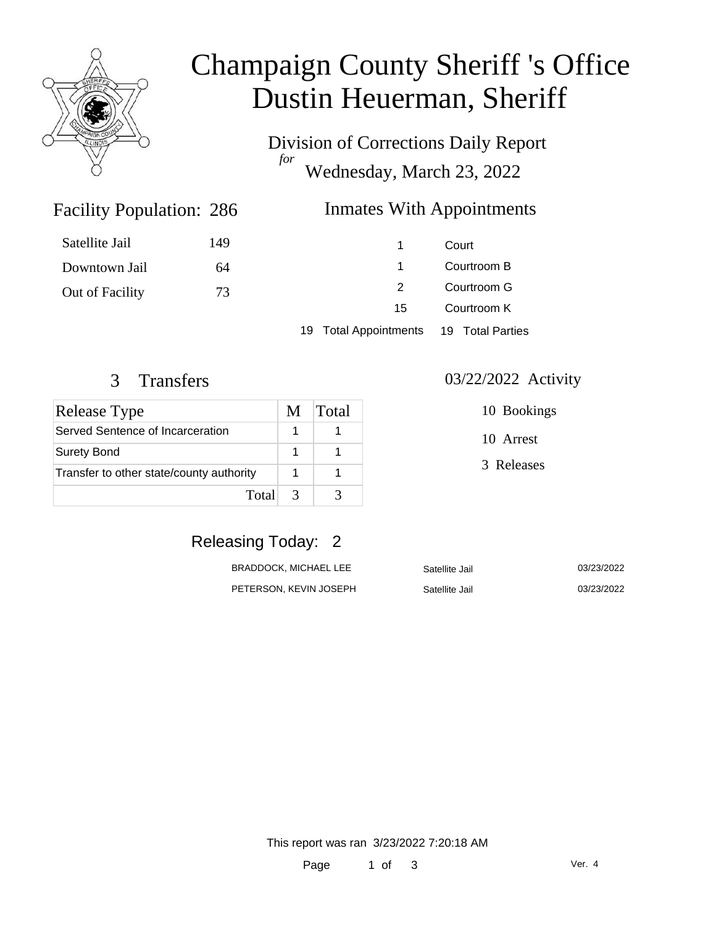

# Champaign County Sheriff 's Office Dustin Heuerman, Sheriff

Division of Corrections Daily Report *for* Wednesday, March 23, 2022

## Inmates With Appointments

| Satellite Jail  | 149 |                       | Court            |  |
|-----------------|-----|-----------------------|------------------|--|
| Downtown Jail   | 64  | 1.                    | Courtroom B      |  |
| Out of Facility | 73  |                       | Courtroom G      |  |
|                 |     | 15                    | Courtroom K      |  |
|                 |     | 19 Total Appointments | 19 Total Parties |  |

Facility Population: 286

| <b>Release Type</b>                      |               | <b>Total</b> |
|------------------------------------------|---------------|--------------|
| Served Sentence of Incarceration         |               |              |
| <b>Surety Bond</b>                       |               |              |
| Transfer to other state/county authority |               |              |
| Total                                    | $\mathcal{R}$ |              |

#### 3 Transfers 03/22/2022 Activity

10 Bookings

10 Arrest

3 Releases

# Releasing Today: 2

| BRADDOCK. MICHAEL LEE  | Satellite Jail | 03/23/2022 |
|------------------------|----------------|------------|
| PETERSON, KEVIN JOSEPH | Satellite Jail | 03/23/2022 |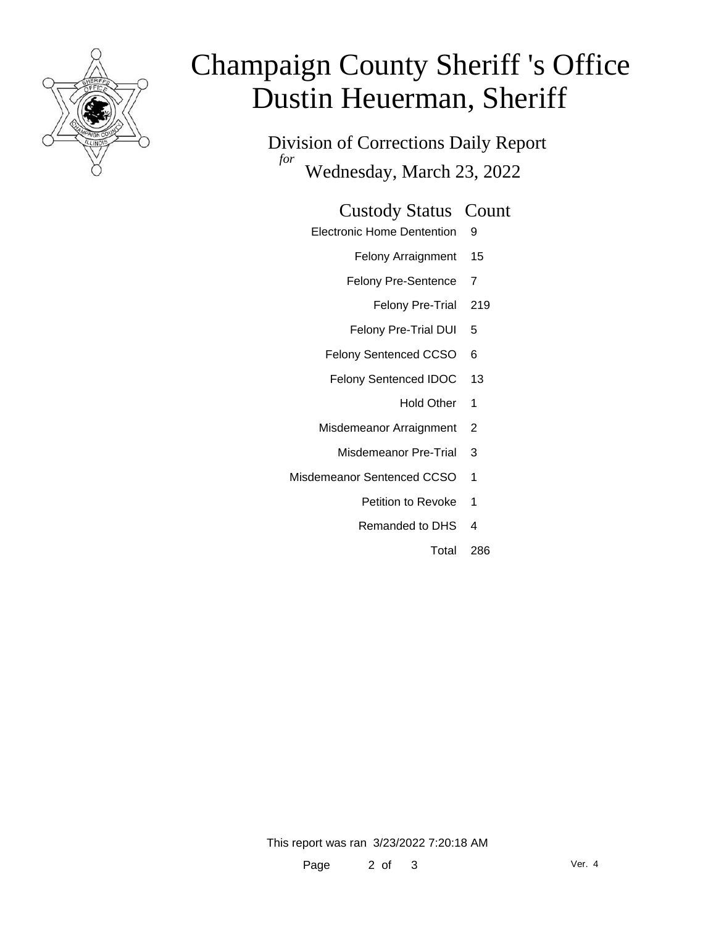

# Champaign County Sheriff 's Office Dustin Heuerman, Sheriff

Division of Corrections Daily Report *for* Wednesday, March 23, 2022

#### Custody Status Count

- Electronic Home Dentention 9
	- Felony Arraignment 15
	- Felony Pre-Sentence 7
		- Felony Pre-Trial 219
	- Felony Pre-Trial DUI 5
	- Felony Sentenced CCSO 6
	- Felony Sentenced IDOC 13
		- Hold Other 1
	- Misdemeanor Arraignment 2
		- Misdemeanor Pre-Trial 3
- Misdemeanor Sentenced CCSO 1
	- Petition to Revoke 1
	- Remanded to DHS 4
		- Total 286

This report was ran 3/23/2022 7:20:18 AM